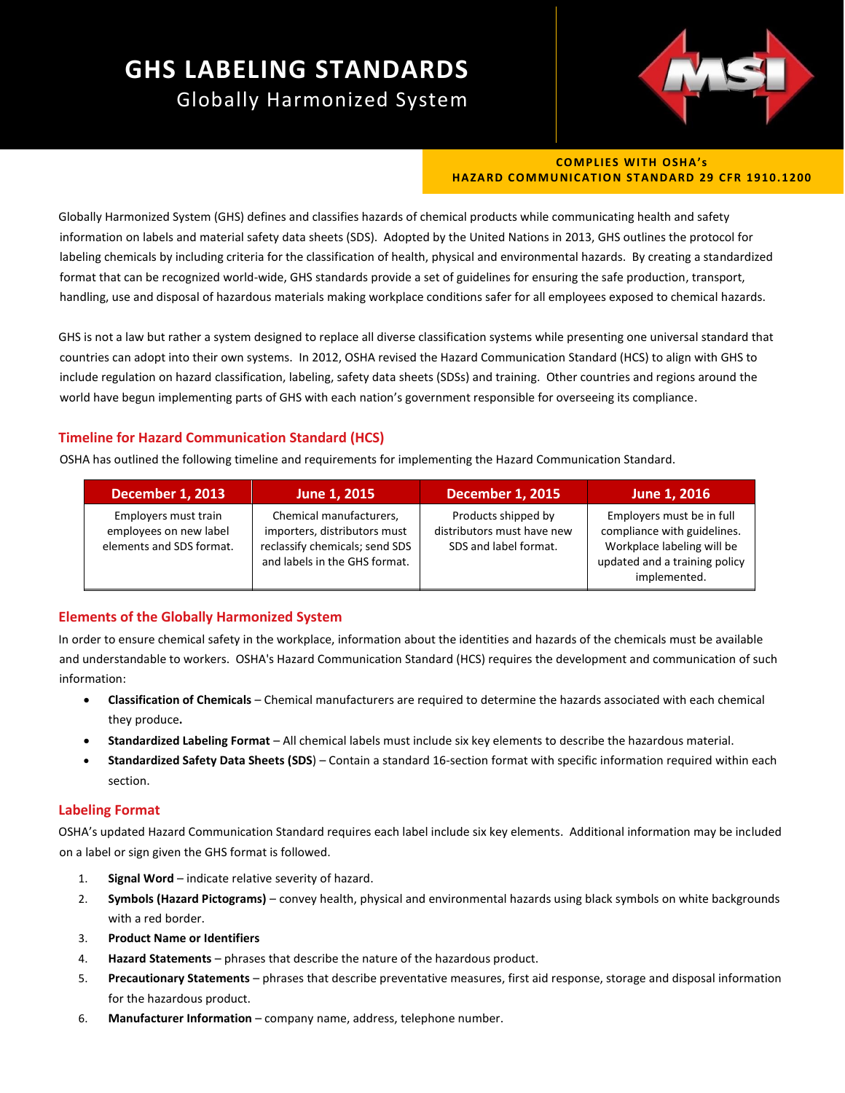# **GHS LABELING STANDARDS** Globally Harmonized System



#### **COMPLIES WITH OSHA's HAZARD COMMUNICATION STANDARD 29 CFR 1910.1200**

Globally Harmonized System (GHS) defines and classifies hazards of chemical products while communicating health and safety information on labels and material safety data sheets (SDS). Adopted by the United Nations in 2013, GHS outlines the protocol for labeling chemicals by including criteria for the classification of health, physical and environmental hazards. By creating a standardized format that can be recognized world-wide, GHS standards provide a set of guidelines for ensuring the safe production, transport, handling, use and disposal of hazardous materials making workplace conditions safer for all employees exposed to chemical hazards.

GHS is not a law but rather a system designed to replace all diverse classification systems while presenting one universal standard that countries can adopt into their own systems. In 2012, OSHA revised the Hazard Communication Standard (HCS) to align with GHS to include regulation on hazard classification, labeling, safety data sheets (SDSs) and training. Other countries and regions around the world have begun implementing parts of GHS with each nation's government responsible for overseeing its compliance.

## **Timeline for Hazard Communication Standard (HCS)**

OSHA has outlined the following timeline and requirements for implementing the Hazard Communication Standard.

| <b>December 1, 2013</b>                                                    | June 1, 2015                                                                                                               | <b>December 1, 2015</b>                                                    | June 1, 2016                                                                                                                            |
|----------------------------------------------------------------------------|----------------------------------------------------------------------------------------------------------------------------|----------------------------------------------------------------------------|-----------------------------------------------------------------------------------------------------------------------------------------|
| Employers must train<br>employees on new label<br>elements and SDS format. | Chemical manufacturers,<br>importers, distributors must<br>reclassify chemicals; send SDS<br>and labels in the GHS format. | Products shipped by<br>distributors must have new<br>SDS and label format. | Employers must be in full<br>compliance with guidelines.<br>Workplace labeling will be<br>updated and a training policy<br>implemented. |

### **Elements of the Globally Harmonized System**

In order to ensure chemical safety in the workplace, information about the identities and hazards of the chemicals must be available and understandable to workers. OSHA's Hazard Communication Standard (HCS) requires the development and communication of such information:

- **Classification of Chemicals** Chemical manufacturers are required to determine the hazards associated with each chemical they produce**.**
- **Standardized Labeling Format** All chemical labels must include six key elements to describe the hazardous material.
- **Standardized Safety Data Sheets (SDS**) Contain a standard 16-section format with specific information required within each section.

### **Labeling Format**

OSHA's updated Hazard Communication Standard requires each label include six key elements. Additional information may be included on a label or sign given the GHS format is followed.

- 1. **Signal Word** indicate relative severity of hazard.
- 2. **Symbols (Hazard Pictograms)** convey health, physical and environmental hazards using black symbols on white backgrounds with a red border.
- 3. **Product Name or Identifiers**
- 4. **Hazard Statements** phrases that describe the nature of the hazardous product.
- 5. **Precautionary Statements** phrases that describe preventative measures, first aid response, storage and disposal information for the hazardous product.
- 6. **Manufacturer Information** company name, address, telephone number.